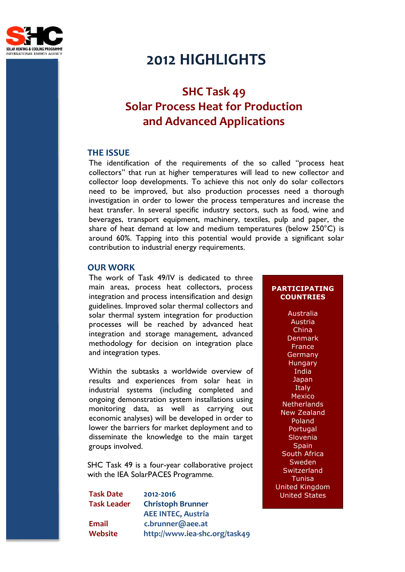

# **2012 HIGHLIGHTS**

# **SHC Task 49 Solar Process Heat for Production and Advanced Applications**

## **THE ISSUE**

The identification of the requirements of the so called "process heat collectors" that run at higher temperatures will lead to new collector and collector loop developments. To achieve this not only do solar collectors need to be improved, but also production processes need a thorough investigation in order to lower the process temperatures and increase the heat transfer. In several specific industry sectors, such as food, wine and beverages, transport equipment, machinery, textiles, pulp and paper, the share of heat demand at low and medium temperatures (below 250°C) is around 60%. Tapping into this potential would provide a significant solar contribution to industrial energy requirements.

### **OUR WORK**

The work of Task 49/IV is dedicated to three main areas, process heat collectors, process integration and process intensification and design guidelines. Improved solar thermal collectors and solar thermal system integration for production processes will be reached by advanced heat integration and storage management, advanced methodology for decision on integration place and integration types.

Within the subtasks a worldwide overview of results and experiences from solar heat in industrial systems (including completed and ongoing demonstration system installations using monitoring data, as well as carrying out economic analyses) will be developed in order to lower the barriers for market deployment and to disseminate the knowledge to the main target groups involved.

SHC Task 49 is a four-year collaborative project with the IEA SolarPACES Programme.

**Task Date 2012-2016 Task Leader Christoph Brunner AEE INTEC, Austria Email c.brunner@aee.at Website http://www.iea-shc.org/task49**

# **PARTICIPATING COUNTRIES**

Australia Austria China Denmark **France** Germany Hungary India Japan **Italy** Mexico **Netherlands** New Zealand Poland Portugal Slovenia **Spain** South Africa **Sweden Switzerland** Tunisa United Kingdom United States